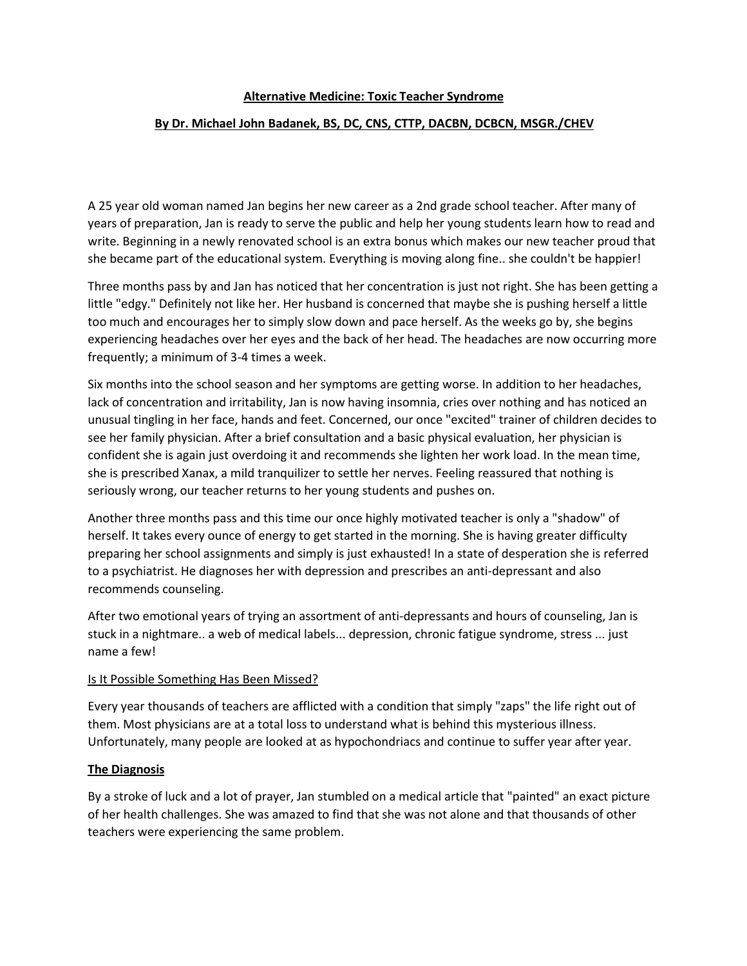## **Alternative Medicine:Toxic Teacher Syndrome**

## **By Dr. Michael John Badanek, BS, DC, CNS, CTTP, DACBN, DCBCN, MSGR./CHEV**

A 25 year old woman named Jan begins her new career as a 2nd grade school teacher. After many of years of preparation, Jan is ready to serve the public and help her young students learn how to read and write. Beginning in a newly renovated school is an extra bonus which makes our new teacher proud that she became part of the educational system. Everything is moving along fine.. she couldn't be happier!

Three months pass by and Jan has noticed that her concentration is just not right. She has been getting a little "edgy." Definitely not like her. Her husband is concerned that maybe she is pushing herself a little too much and encourages her to simply slow down and pace herself. As the weeks go by, she begins experiencing headaches over her eyes and the back of her head. The headaches are now occurring more frequently; a minimum of 3-4 times a week.

Six months into the school season and her symptoms are getting worse. In addition to her headaches, lack of concentration and irritability, Jan is now having insomnia, cries over nothing and has noticed an unusual tingling in her face, hands and feet. Concerned, our once "excited" trainer of children decides to see her family physician. After a brief consultation and a basic physical evaluation, her physician is confident she is again just overdoing it and recommends she lighten her work load. In the mean time, she is prescribed Xanax, a mild tranquilizer to settle her nerves. Feeling reassured that nothing is seriously wrong, our teacher returns to her young students and pushes on.

Another three months pass and this time our once highly motivated teacheris only a "shadow" of herself. It takes every ounce of energy to get started in the morning. She is having greater difficulty preparing her school assignments and simply is just exhausted! In a state ofdesperation she is referred to a psychiatrist. He diagnoses her with depression and prescribes an anti-depressant and also recommends counseling.

After two emotional years of trying an assortment of anti-depressants and hours of counseling, Jan is stuck in a nightmare.. a web of medical labels... depression, chronic fatigue syndrome, stress ... just name a few!

#### Is It Possible Something Has Been Missed?

Every yearthousands of teachers are afflicted with a condition that simply "zaps" the life right out of them. Most physicians are at a total loss to understand what is behind this mysterious illness. Unfortunately, many people are looked at as hypochondriacs and continue to suffer year after year.

#### **The Diagnosis**

By a stroke of luck and a lot of prayer, Jan stumbled on a medical article that "painted" an exact picture of her health challenges. She was amazed to find thatshe was not alone and that thousands of other teachers were experiencing the same problem.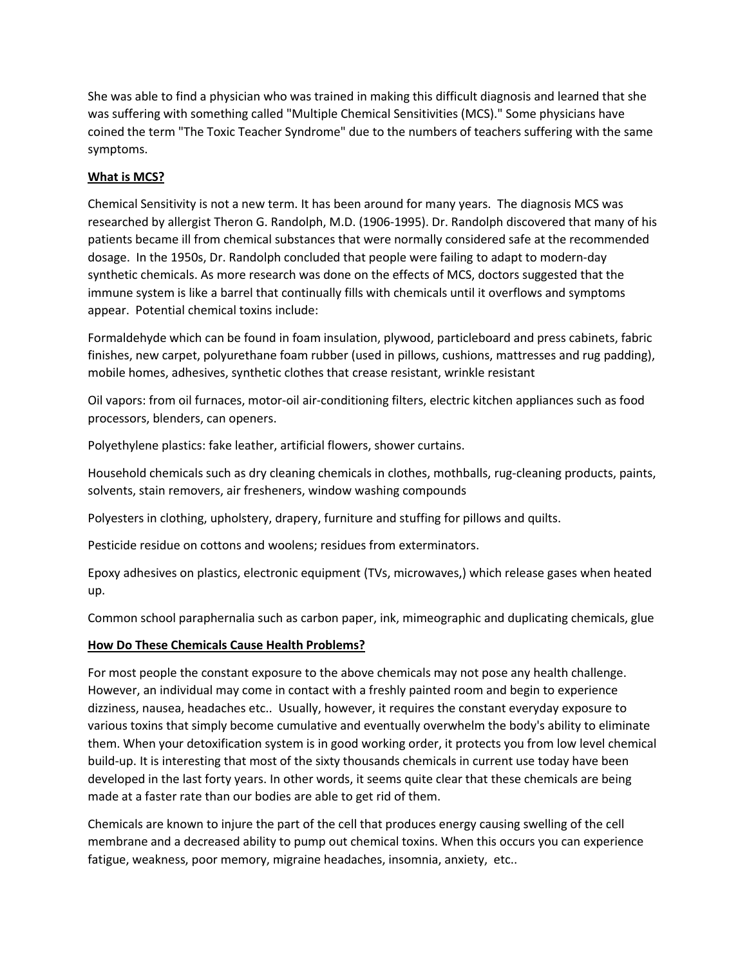She was able to find a physician who was trained in making this difficult diagnosis and learned that she was suffering with something called "Multiple Chemical Sensitivities (MCS)." Some physicians have coined the term "The Toxic Teacher Syndrome" due to the numbers of teachers suffering with the same symptoms.

## **What is MCS?**

Chemical Sensitivity is not a new term. It has been around for many years. The diagnosis MCS was researched by allergist Theron G. Randolph, M.D. (1906-1995). Dr. Randolph discovered that many of his patients became ill from chemical substances that were normally considered safe at the recommended dosage. In the 1950s, Dr. Randolph concluded that people were failing to adapt to modern-day synthetic chemicals. As more research was done on the effects of MCS, doctors suggested that the immune system is like a barrel that continually fills with chemicals until it overflows and symptoms appear. Potential chemical toxins include:

Formaldehyde which can be found in foam insulation, plywood, particleboard and press cabinets, fabric finishes, new carpet, polyurethane foam rubber (used in pillows, cushions, mattresses and rug padding), mobile homes, adhesives, synthetic clothes that crease resistant, wrinkle resistant

Oil vapors: from oil furnaces, motor-oil air-conditioning filters, electric kitchen appliances such as food processors, blenders, can openers.

Polyethylene plastics: fake leather, artificial flowers, shower curtains.

Household chemicals such as dry cleaning chemicals in clothes, mothballs, rug-cleaning products, paints, solvents, stain removers, air fresheners, window washing compounds

Polyesters in clothing, upholstery, drapery, furniture and stuffing for pillows and quilts.

Pesticide residue on cottons and woolens; residues from exterminators.

Epoxy adhesives on plastics, electronic equipment (TVs, microwaves,) which release gases when heated up.

Common school paraphernalia such as carbon paper, ink, mimeographic and duplicating chemicals, glue

# **How Do These Chemicals Cause Health Problems?**

For most people the constant exposure to the above chemicals may not pose any health challenge. However, an individual may come in contact with a freshly painted room and begin to experience dizziness, nausea, headaches etc.. Usually, however, it requires the constant everyday exposure to various toxins that simply become cumulative and eventually overwhelm the body's ability to eliminate them. When your detoxification system is in good working order, it protects you from low level chemical build-up. It is interesting that most of the sixty thousands chemicals in current use today have been developed in the last forty years. In other words, it seems quite clear that these chemicals are being made at a faster rate than our bodies are able to get rid of them.

Chemicals are known to injure the part of the cell that produces energy causing swelling of the cell membrane and a decreased ability to pump out chemical toxins. When this occurs you can experience fatigue, weakness, poor memory, migraine headaches, insomnia, anxiety, etc..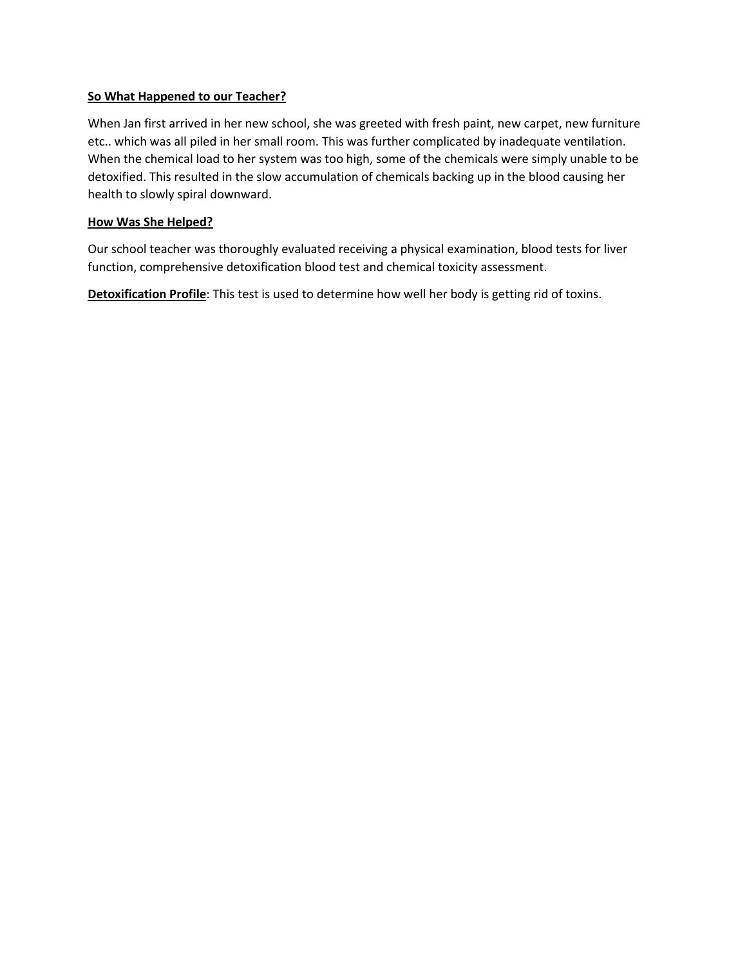## **So What Happened to our Teacher?**

When Jan first arrived in her new school, she was greeted with fresh paint, new carpet, new furniture etc.. which was all piled in her small room. This was further complicated by inadequate ventilation. When the chemical load to her system was too high, some of the chemicals were simply unable to be detoxified. This resulted in the slow accumulation of chemicals backing up in the blood causing her health to slowly spiral downward.

# **How Was She Helped?**

Our school teacher was thoroughly evaluated receiving a physical examination, blood tests for liver function, comprehensive detoxification blood test and chemical toxicity assessment.

**Detoxification Profile**: This test is used to determine how well her body is getting rid of toxins.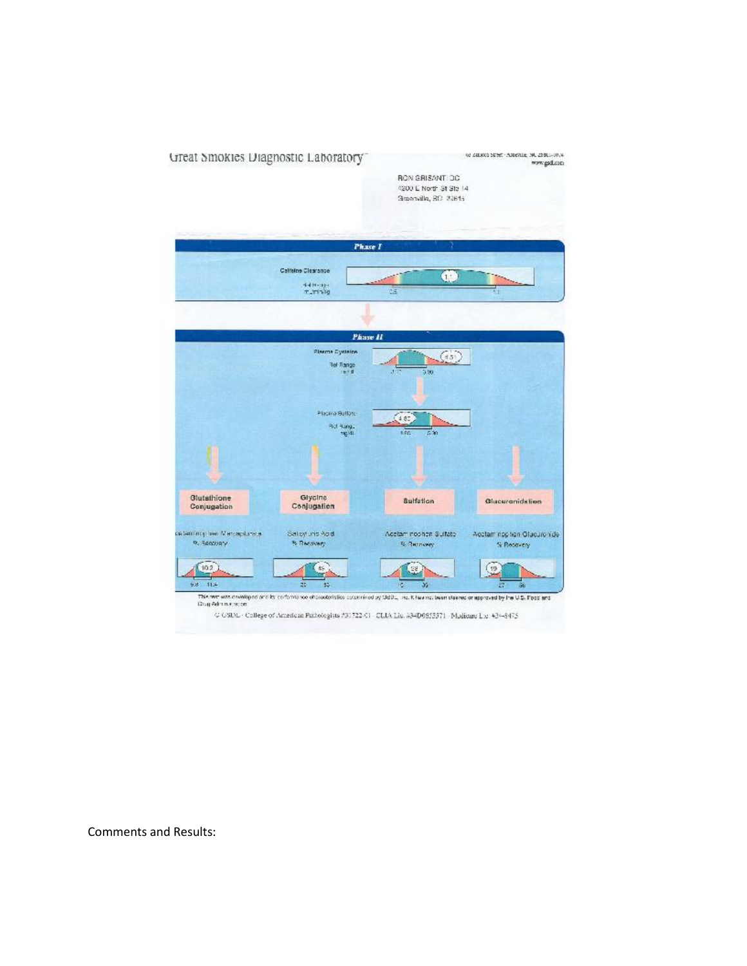

Comments and Results: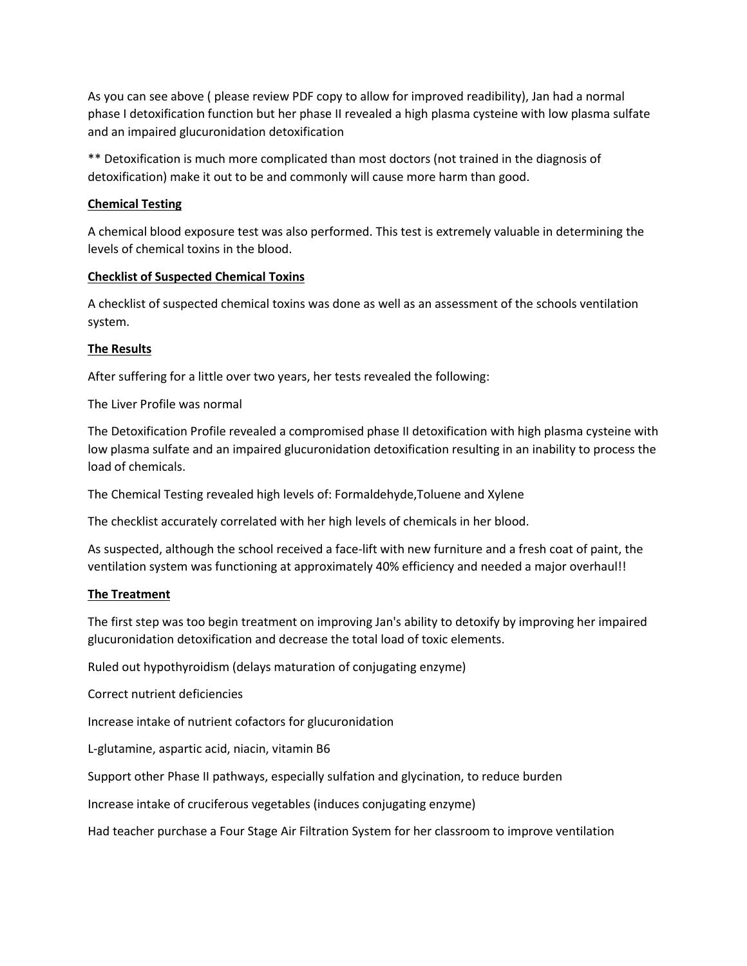As you can see above ( please review PDF copy to allow for improved readibility), Jan had a normal phase I detoxification function but her phase II revealed a high plasma cysteine with low plasma sulfate and an impaired glucuronidation detoxification

\*\* Detoxification is much more complicated than most doctors (not trained in the diagnosis of detoxification) make it out to be and commonly will cause more harm than good.

## **Chemical Testing**

A chemical blood exposure test was also performed. This test is extremely valuable in determining the levels of chemical toxins in the blood.

# **Checklist of Suspected Chemical Toxins**

A checklist of suspected chemical toxins was done as well as an assessment of the schools ventilation system.

# **The Results**

After suffering for a little over two years, her tests revealed the following:

The Liver Profile was normal

The Detoxification Profile revealed a compromised phase II detoxification with high plasma cysteine with low plasma sulfate and an impaired glucuronidation detoxification resulting in an inability to process the load of chemicals.

The Chemical Testing revealed high levelsof: Formaldehyde,Toluene and Xylene

The checklist accurately correlated with her high levels of chemicals in her blood.

As suspected, although the school received a face-lift with new furniture and a fresh coat of paint, the ventilation system was functioning at approximately 40% efficiency and needed a major overhaul!!

## **The Treatment**

The first step was too begin treatment on improving Jan's ability to detoxify by improving her impaired glucuronidation detoxification and decrease the total load of toxic elements.

Ruled out hypothyroidism (delays maturation of conjugating enzyme)

Correct nutrient deficiencies

Increase intake of nutrient cofactors for glucuronidation

L-glutamine, aspartic acid, niacin, vitamin B6

Support other Phase II pathways, especially sulfation and glycination, to reduce burden

Increase intake of cruciferous vegetables (induces conjugating enzyme)

Had teacher purchase a Four Stage Air Filtration System for her classroom to improve ventilation